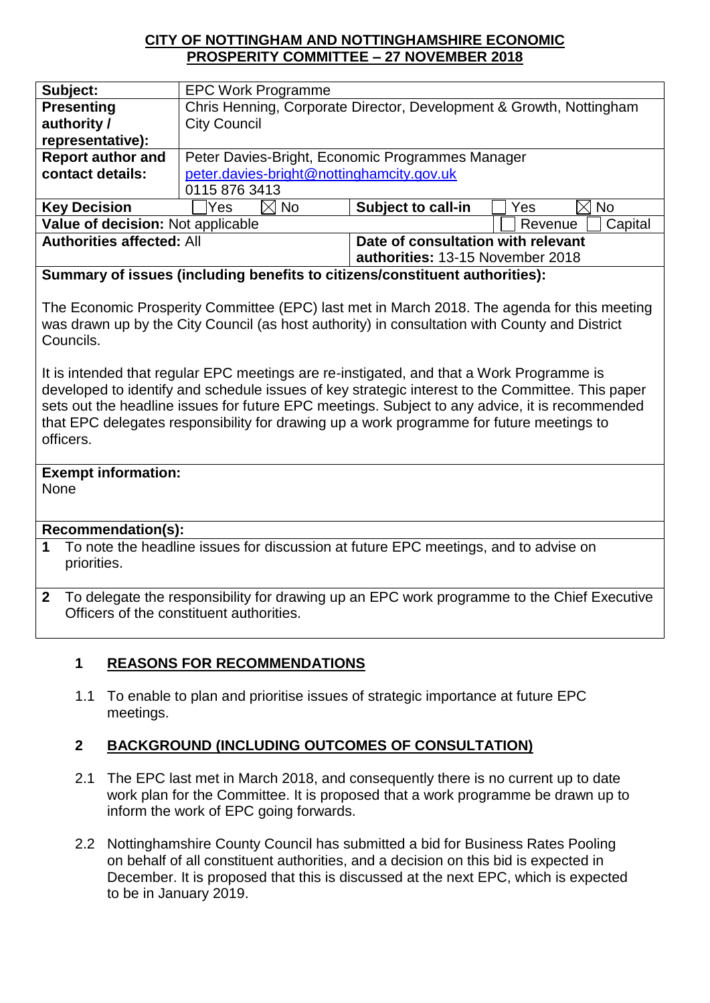#### **CITY OF NOTTINGHAM AND NOTTINGHAMSHIRE ECONOMIC PROSPERITY COMMITTEE – 27 NOVEMBER 2018**

| Subject:                          | <b>EPC Work Programme</b>                                           |                                    |                    |
|-----------------------------------|---------------------------------------------------------------------|------------------------------------|--------------------|
| <b>Presenting</b>                 | Chris Henning, Corporate Director, Development & Growth, Nottingham |                                    |                    |
| authority /                       | <b>City Council</b>                                                 |                                    |                    |
| representative):                  |                                                                     |                                    |                    |
| <b>Report author and</b>          | Peter Davies-Bright, Economic Programmes Manager                    |                                    |                    |
| contact details:                  | peter.davies-bright@nottinghamcity.gov.uk                           |                                    |                    |
|                                   | 0115 876 3413                                                       |                                    |                    |
| <b>Key Decision</b>               | No<br>Yes<br>$\times$ l                                             | <b>Subject to call-in</b>          | <b>No</b><br>Yes   |
| Value of decision: Not applicable |                                                                     |                                    | Capital<br>Revenue |
| <b>Authorities affected: All</b>  |                                                                     | Date of consultation with relevant |                    |
|                                   |                                                                     | authorities: 13-15 November 2018   |                    |

**Summary of issues (including benefits to citizens/constituent authorities):** 

The Economic Prosperity Committee (EPC) last met in March 2018. The agenda for this meeting was drawn up by the City Council (as host authority) in consultation with County and District Councils.

It is intended that regular EPC meetings are re-instigated, and that a Work Programme is developed to identify and schedule issues of key strategic interest to the Committee. This paper sets out the headline issues for future EPC meetings. Subject to any advice, it is recommended that EPC delegates responsibility for drawing up a work programme for future meetings to officers.

# **Exempt information:**

None

## **Recommendation(s):**

- **1** To note the headline issues for discussion at future EPC meetings, and to advise on priorities.
- **2** To delegate the responsibility for drawing up an EPC work programme to the Chief Executive Officers of the constituent authorities.

## **1 REASONS FOR RECOMMENDATIONS**

1.1 To enable to plan and prioritise issues of strategic importance at future EPC meetings.

## **2 BACKGROUND (INCLUDING OUTCOMES OF CONSULTATION)**

- 2.1 The EPC last met in March 2018, and consequently there is no current up to date work plan for the Committee. It is proposed that a work programme be drawn up to inform the work of EPC going forwards.
- 2.2 Nottinghamshire County Council has submitted a bid for Business Rates Pooling on behalf of all constituent authorities, and a decision on this bid is expected in December. It is proposed that this is discussed at the next EPC, which is expected to be in January 2019.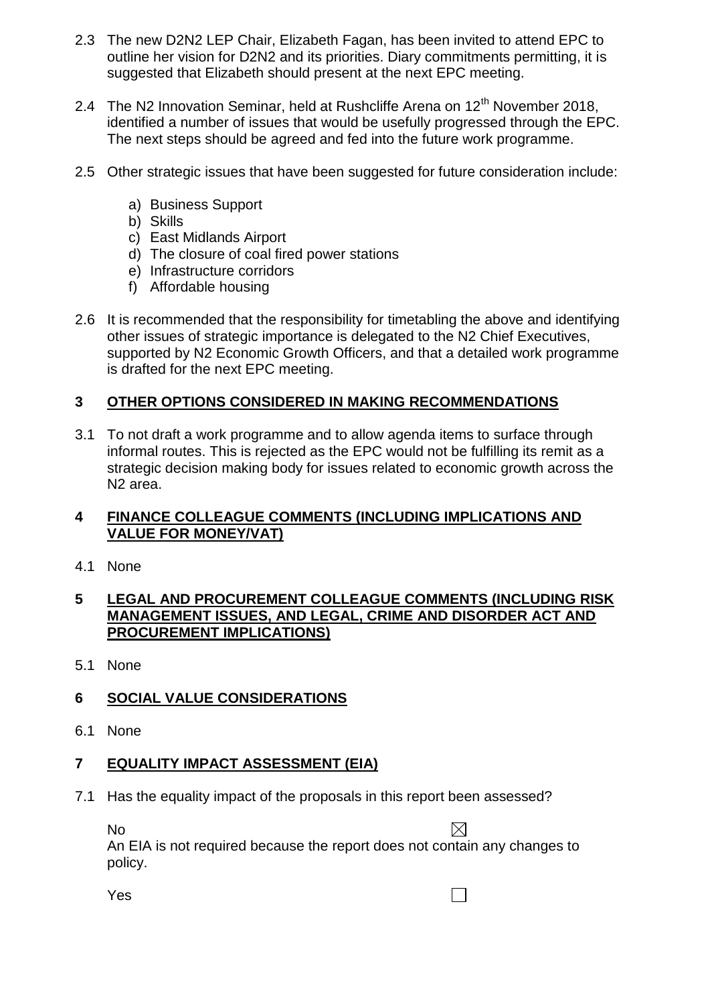- 2.3 The new D2N2 LEP Chair, Elizabeth Fagan, has been invited to attend EPC to outline her vision for D2N2 and its priorities. Diary commitments permitting, it is suggested that Elizabeth should present at the next EPC meeting.
- 2.4 The N2 Innovation Seminar, held at Rushcliffe Arena on  $12<sup>th</sup>$  November 2018, identified a number of issues that would be usefully progressed through the EPC. The next steps should be agreed and fed into the future work programme.
- 2.5 Other strategic issues that have been suggested for future consideration include:
	- a) Business Support
	- b) Skills
	- c) East Midlands Airport
	- d) The closure of coal fired power stations
	- e) Infrastructure corridors
	- f) Affordable housing
- 2.6 It is recommended that the responsibility for timetabling the above and identifying other issues of strategic importance is delegated to the N2 Chief Executives, supported by N2 Economic Growth Officers, and that a detailed work programme is drafted for the next EPC meeting.

## **3 OTHER OPTIONS CONSIDERED IN MAKING RECOMMENDATIONS**

3.1 To not draft a work programme and to allow agenda items to surface through informal routes. This is rejected as the EPC would not be fulfilling its remit as a strategic decision making body for issues related to economic growth across the N2 area.

#### **4 FINANCE COLLEAGUE COMMENTS (INCLUDING IMPLICATIONS AND VALUE FOR MONEY/VAT)**

4.1 None

#### **5 LEGAL AND PROCUREMENT COLLEAGUE COMMENTS (INCLUDING RISK MANAGEMENT ISSUES, AND LEGAL, CRIME AND DISORDER ACT AND PROCUREMENT IMPLICATIONS)**

5.1 None

## **6 SOCIAL VALUE CONSIDERATIONS**

6.1 None

## **7 EQUALITY IMPACT ASSESSMENT (EIA)**

7.1 Has the equality impact of the proposals in this report been assessed?

No

An EIA is not required because the report does not contain any changes to policy.

Yes

 $\Box$ 

 $\boxtimes$